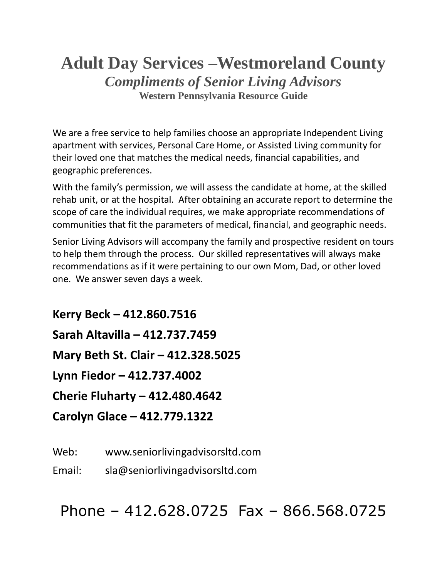# **Adult Day Services –Westmoreland County** *Compliments of Senior Living Advisors* **Western Pennsylvania Resource Guide**

We are a free service to help families choose an appropriate Independent Living apartment with services, Personal Care Home, or Assisted Living community for their loved one that matches the medical needs, financial capabilities, and geographic preferences.

With the family's permission, we will assess the candidate at home, at the skilled rehab unit, or at the hospital. After obtaining an accurate report to determine the scope of care the individual requires, we make appropriate recommendations of communities that fit the parameters of medical, financial, and geographic needs.

Senior Living Advisors will accompany the family and prospective resident on tours to help them through the process. Our skilled representatives will always make recommendations as if it were pertaining to our own Mom, Dad, or other loved one. We answer seven days a week.

**Kerry Beck – 412.860.7516 Sarah Altavilla – 412.737.7459 Mary Beth St. Clair – 412.328.5025 Lynn Fiedor – 412.737.4002 Cherie Fluharty – 412.480.4642 Carolyn Glace – 412.779.1322**

Web: www.seniorlivingadvisorsltd.com

Email: sla@seniorlivingadvisorsltd.com

Phone – 412.628.0725 Fax – 866.568.0725